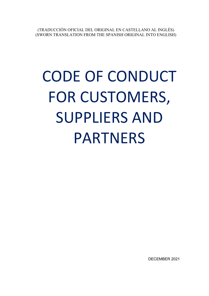(TRADUCCIÓN OFICIAL DEL ORIGINAL EN CASTELLANO AL INGLÉS) (SWORN TRANSLATION FROM THE SPANISH ORIGINAL INTO ENGLISH)

# CODE OF CONDUCT FOR CUSTOMERS, SUPPLIERS AND PARTNERS

DECEMBER 2021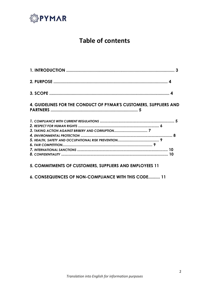

## **Table of contents**

| 4. GUIDELINES FOR THE CONDUCT OF PYMAR'S CUSTOMERS, SUPPLIERS AND |  |
|-------------------------------------------------------------------|--|
|                                                                   |  |
|                                                                   |  |
|                                                                   |  |

#### **5. COMMITMENTS OF CUSTOMERS, SUPPLIERS AND EMPLOYEES 11**

**6. CONSEQUENCES OF NON-COMPLIANCE WITH THIS CODE.......... 11**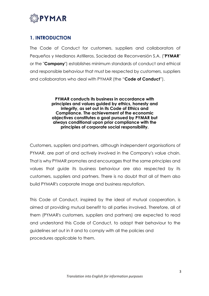

## **1. INTRODUCTION**

The Code of Conduct for customers, suppliers and collaborators of Pequeños y Medianos Astilleros, Sociedad de Reconversión S.A. ("**PYMAR**" or the "**Company**") establishes minimum standards of conduct and ethical and responsible behaviour that must be respected by customers, suppliers and collaborators who deal with PYMAR (the "**Code of Conduct**").

> **PYMAR conducts its business in accordance with principles and values guided by ethics, honesty and integrity, as set out in its Code of Ethics and Compliance. The achievement of the economic objectives constitutes a goal pursued by PYMAR but always conditional upon prior compliance with the principles of corporate social responsibility.**

Customers, suppliers and partners, although independent organisations of PYMAR, are part of and actively involved in the Company's value chain. That is why PYMAR promotes and encourages that the same principles and values that guide its business behaviour are also respected by its customers, suppliers and partners. There is no doubt that all of them also build PYMAR's corporate image and business reputation.

This Code of Conduct, inspired by the ideal of mutual cooperation, is aimed at providing mutual benefit to all parties involved. Therefore, all of them (PYMAR's customers, suppliers and partners) are expected to read and understand this Code of Conduct, to adapt their behaviour to the guidelines set out in it and to comply with all the policies and procedures applicable to them.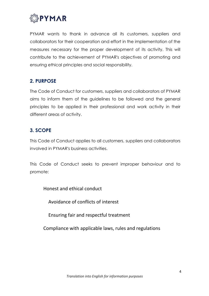

PYMAR wants to thank in advance all its customers, suppliers and collaborators for their cooperation and effort in the implementation of the measures necessary for the proper development of its activity. This will contribute to the achievement of PYMAR's objectives of promoting and ensuring ethical principles and social responsibility.

## **2. PURPOSE**

The Code of Conduct for customers, suppliers and collaborators of PYMAR aims to inform them of the guidelines to be followed and the general principles to be applied in their professional and work activity in their different areas of activity.

## **3. SCOPE**

This Code of Conduct applies to all customers, suppliers and collaborators involved in PYMAR's business activities.

This Code of Conduct seeks to prevent improper behaviour and to promote:

Honest and ethical conduct

Avoidance of conflicts of interest

Ensuring fair and respectful treatment

Compliance with applicable laws, rules and regulations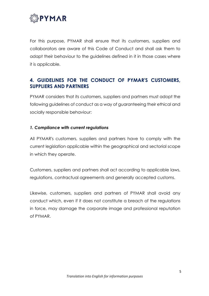

For this purpose, PYMAR shall ensure that its customers, suppliers and collaborators are aware of this Code of Conduct and shall ask them to adapt their behaviour to the guidelines defined in it in those cases where it is applicable.

## **4. GUIDELINES FOR THE CONDUCT OF PYMAR'S CUSTOMERS, SUPPLIERS AND PARTNERS**

PYMAR considers that its customers, suppliers and partners must adopt the following guidelines of conduct as a way of guaranteeing their ethical and socially responsible behaviour:

#### *1. Compliance with current regulations*

All PYMAR's customers, suppliers and partners have to comply with the current legislation applicable within the geographical and sectorial scope in which they operate.

Customers, suppliers and partners shall act according to applicable laws, regulations, contractual agreements and generally accepted customs.

Likewise, customers, suppliers and partners of PYMAR shall avoid any conduct which, even if it does not constitute a breach of the regulations in force, may damage the corporate image and professional reputation of PYMAR.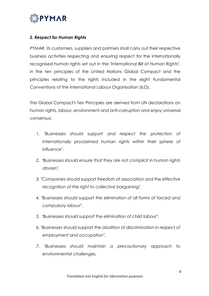

#### *2. Respect for Human Rights*

PYMAR, its customers, suppliers and partners shall carry out their respective business activities respecting and ensuring respect for the internationally recognised human rights set out in the *"International Bill of Human Rights"*, in the ten principles of the United Nations Global Compact and the principles relating to the rights included in the eight Fundamental Conventions of the International Labour Organisation (ILO).

The Global Compact's Ten Principles are derived from UN declarations on human rights, labour, environment and anti-corruption and enjoy universal consensus:

- 1. "Businesses should support and respect the protection of *internationally proclaimed human rights within their sphere of influence".*
- *2. "Businesses should ensure that they are not complicit in human rights abuses".*
- *3. "Companies should support freedom of association and the effective recognition of the right to collective bargaining".*
- *4. "Businesses should support the elimination of all forms of forced and compulsory labour".*
- *5. "Businesses should support the elimination of child labour".*
- *6. "Businesses should support the abolition of discrimination in respect of employment and occupation".*
- *7. "Businesses should maintain a precautionary approach to environmental challenges.*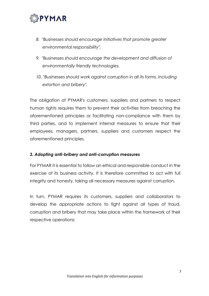

- *8. "Businesses should encourage initiatives that promote greater environmental responsibility".*
- *9. "Businesses should encourage the development and diffusion of environmentally friendly technologies.*
- 10. "Businesses should work against corruption in all its forms, including *extortion and bribery".*

The obligation of PYMAR's customers, suppliers and partners to respect human rights requires them to prevent their activities from breaching the aforementioned principles or facilitating non-compliance with them by third parties, and to implement internal measures to ensure that their employees, managers, partners, suppliers and customers respect the aforementioned principles.

#### *3. Adopting anti-bribery and anti-corruption measures*

For PYMAR it is essential to follow an ethical and responsible conduct in the exercise of its business activity. It is therefore committed to act with full integrity and honesty, taking all necessary measures against corruption.

In turn, PYMAR requires its customers, suppliers and collaborators to develop the appropriate actions to fight against all types of fraud, corruption and bribery that may take place within the framework of their respective operations: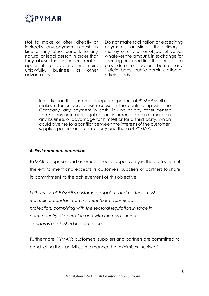

Not to make or offer, directly or indirectly, any payment in cash, in kind or any other benefit, to any natural or legal person in order that they abuse their influence, real or apparent, to obtain or maintain, unlawfully, business or other advantages.

Do not make facilitation or expediting payments, consisting of the delivery of money or any other object of value, whatever the amount, in exchange for securing or expediting the course of a procedure or action before any judicial body, public administration or official body.

In particular, the customer, supplier or partner of PYMAR shall not make, offer or accept with cause in the contracting with the Company, any payment in cash, in kind or any other benefit from/to any natural or legal person, in order to obtain or maintain any business or advantage for himself or for a third party, which could give rise to a conflict between the interests of the customer, supplier, partner or the third party and those of PYMAR.

#### *4. Environmental protection*

PYMAR recognises and assumes its social responsibility in the protection of the environment and expects its customers, suppliers or partners to share its commitment to the achievement of this objective.

*In this way, all PYMAR's customers, suppliers and partners must maintain a constant commitment to environmental protection, complying with the sectoral legislation in force in each country of operation and with the environmental standards established in each case.*

Furthermore, PYMAR's customers, suppliers and partners are committed to conducting their activities in a manner that minimises the risk of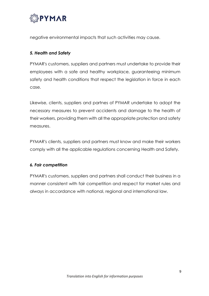

negative environmental impacts that such activities may cause.

#### *5. Health and Safety*

PYMAR's customers, suppliers and partners must undertake to provide their employees with a safe and healthy workplace, guaranteeing minimum safety and health conditions that respect the legislation in force in each case.

Likewise, clients, suppliers and partnes of PYMAR undertake to adopt the necessary measures to prevent accidents and damage to the health of their workers, providing them with all the appropriate protection and safety measures.

PYMAR's clients, suppliers and partners must know and make their workers comply with all the applicable regulations concerning Health and Safety.

#### *6. Fair competition*

PYMAR's customers, suppliers and partners shall conduct their business in a manner consistent with fair competition and respect for market rules and always in accordance with national, regional and international law.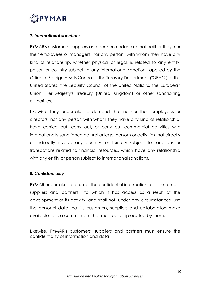

#### *7. International sanctions*

PYMAR's customers, suppliers and partners undertake that neither they, nor their employees or managers, nor any person with whom they have any kind of relationship, whether physical or legal, is related to any entity, person or country subject to any international sanction applied by the Office of Foreign Assets Control of the Treasury Department ("OFAC") of the United States, the Security Council of the United Nations, the European Union, Her Majesty's Treasury (United Kingdom) or other sanctioning authorities.

Likewise, they undertake to demand that neither their employees or directors, nor any person with whom they have any kind of relationship, have carried out, carry out, or carry out commercial activities with internationally sanctioned natural or legal persons or activities that directly or indirectly involve any country. or territory subject to sanctions or transactions related to financial resources, which have any relationship with any entity or person subject to international sanctions.

#### *8. Confidentiality*

PYMAR undertakes to protect the confidential information of its customers, suppliers and partners to which it has access as a result of the development of its activity, and shall not, under any circumstances, use the personal data that its customers, suppliers and collaborators make available to it, a commitment that must be reciprocated by them.

Likewise, PYMAR's customers, suppliers and partners must ensure the confidentiality of information and data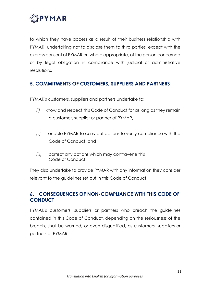

to which they have access as a result of their business relationship with PYMAR, undertaking not to disclose them to third parties, except with the express consent of PYMAR or, where appropriate, of the person concerned or by legal obligation in compliance with judicial or administrative resolutions.

## **5. COMMITMENTS OF CUSTOMERS, SUPPLIERS AND PARTNERS**

PYMAR's customers, suppliers and partners undertake to:

- *(i)* know and respect this Code of Conduct for as long as they remain a customer, supplier or partner of PYMAR,
- *(ii)* enable PYMAR to carry out actions to verify compliance with the Code of Conduct; and
- *(iii)* correct any actions which may contravene this Code of Conduct.

They also undertake to provide PYMAR with any information they consider relevant to the guidelines set out in this Code of Conduct.

## **6. CONSEQUENCES OF NON-COMPLIANCE WITH THIS CODE OF CONDUCT**

PYMAR's customers, suppliers or partners who breach the guidelines contained in this Code of Conduct, depending on the seriousness of the breach, shall be warned, or even disqualified, as customers, suppliers or partners of PYMAR.